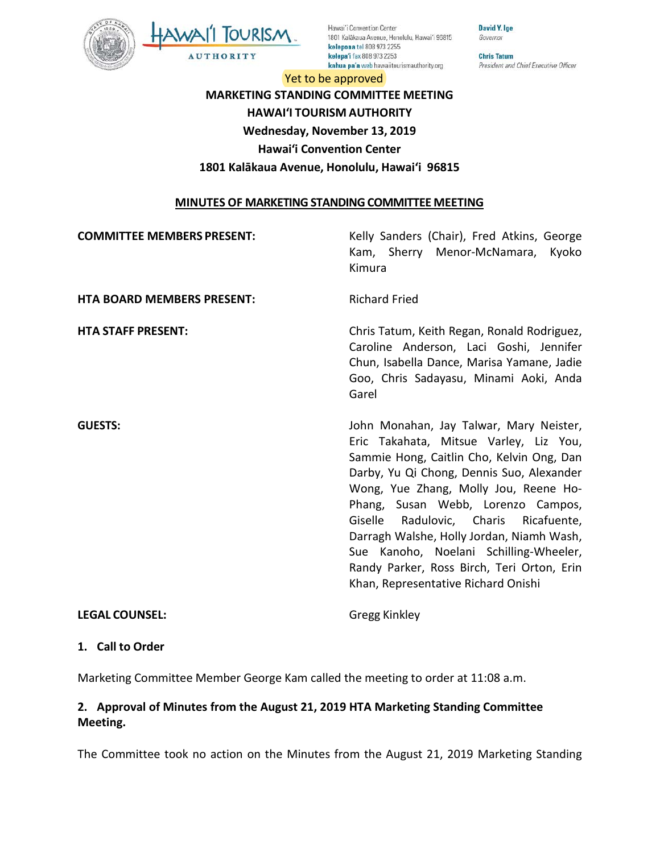

Hawai'i Convention Center 1801 Kalākaua Avenue, Honolulu, Hawai'i 96815 kelepona tel 808 973 2255 kelepa'i fax 808 973 2253 kahua pa'a web hawaiitourismauthority.org

**Chris Tatum** President and Chief Executive Officer

David Y. Ige

Governor

# **MARKETING STANDING COMMITTEE MEETING HAWAI'I TOURISM AUTHORITY Wednesday, November 13, 2019 Hawai'i Convention Center 1801 Kalākaua Avenue, Honolulu, Hawai'i 96815** Yet to be approved

#### **MINUTES OF MARKETING STANDING COMMITTEE MEETING**

| <b>COMMITTEE MEMBERS PRESENT:</b> | Kelly Sanders (Chair), Fred Atkins, George<br>Kam, Sherry Menor-McNamara, Kyoko<br>Kimura                                                                                                                                                                                                                                                                                                                                                                                       |
|-----------------------------------|---------------------------------------------------------------------------------------------------------------------------------------------------------------------------------------------------------------------------------------------------------------------------------------------------------------------------------------------------------------------------------------------------------------------------------------------------------------------------------|
| <b>HTA BOARD MEMBERS PRESENT:</b> | <b>Richard Fried</b>                                                                                                                                                                                                                                                                                                                                                                                                                                                            |
| <b>HTA STAFF PRESENT:</b>         | Chris Tatum, Keith Regan, Ronald Rodriguez,<br>Caroline Anderson, Laci Goshi, Jennifer<br>Chun, Isabella Dance, Marisa Yamane, Jadie<br>Goo, Chris Sadayasu, Minami Aoki, Anda<br>Garel                                                                                                                                                                                                                                                                                         |
| <b>GUESTS:</b>                    | John Monahan, Jay Talwar, Mary Neister,<br>Eric Takahata, Mitsue Varley, Liz You,<br>Sammie Hong, Caitlin Cho, Kelvin Ong, Dan<br>Darby, Yu Qi Chong, Dennis Suo, Alexander<br>Wong, Yue Zhang, Molly Jou, Reene Ho-<br>Phang, Susan Webb, Lorenzo Campos,<br>Giselle Radulovic, Charis Ricafuente,<br>Darragh Walshe, Holly Jordan, Niamh Wash,<br>Sue Kanoho, Noelani Schilling-Wheeler,<br>Randy Parker, Ross Birch, Teri Orton, Erin<br>Khan, Representative Richard Onishi |
| <b>LEGAL COUNSEL:</b>             | Gregg Kinkley                                                                                                                                                                                                                                                                                                                                                                                                                                                                   |

#### **1. Call to Order**

Marketing Committee Member George Kam called the meeting to order at 11:08 a.m.

### **2. Approval of Minutes from the August 21, 2019 HTA Marketing Standing Committee Meeting.**

The Committee took no action on the Minutes from the August 21, 2019 Marketing Standing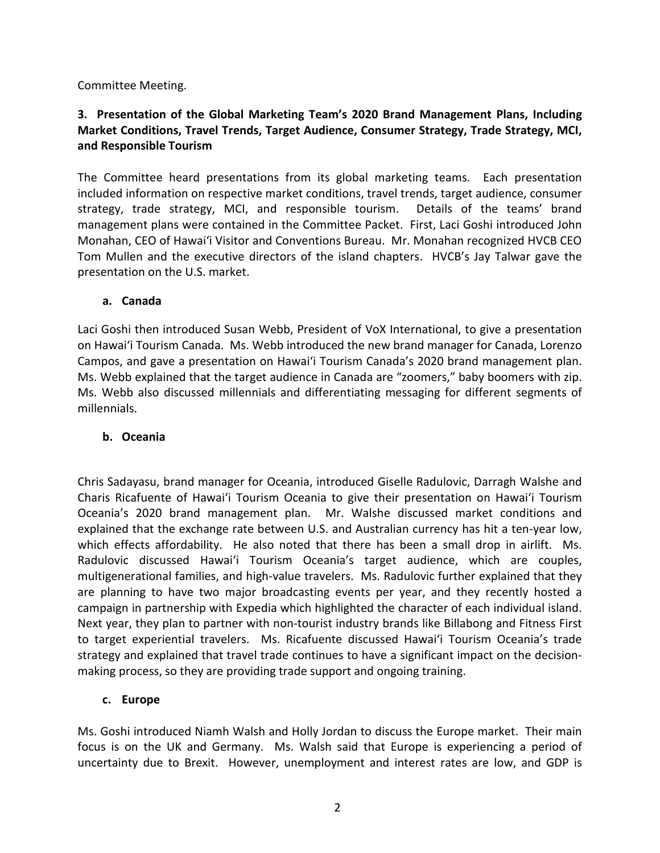Committee Meeting.

### **3. Presentation of the Global Marketing Team's 2020 Brand Management Plans, Including Market Conditions, Travel Trends, Target Audience, Consumer Strategy, Trade Strategy, MCI, and Responsible Tourism**

The Committee heard presentations from its global marketing teams. Each presentation included information on respective market conditions, travel trends, target audience, consumer strategy, trade strategy, MCI, and responsible tourism. Details of the teams' brand management plans were contained in the Committee Packet. First, Laci Goshi introduced John Monahan, CEO of Hawai'i Visitor and Conventions Bureau. Mr. Monahan recognized HVCB CEO Tom Mullen and the executive directors of the island chapters. HVCB's Jay Talwar gave the presentation on the U.S. market.

### **a. Canada**

Laci Goshi then introduced Susan Webb, President of VoX International, to give a presentation on Hawai'i Tourism Canada. Ms. Webb introduced the new brand manager for Canada, Lorenzo Campos, and gave a presentation on Hawai'i Tourism Canada's 2020 brand management plan. Ms. Webb explained that the target audience in Canada are "zoomers," baby boomers with zip. Ms. Webb also discussed millennials and differentiating messaging for different segments of millennials.

### **b. Oceania**

Chris Sadayasu, brand manager for Oceania, introduced Giselle Radulovic, Darragh Walshe and Charis Ricafuente of Hawai'i Tourism Oceania to give their presentation on Hawai'i Tourism Oceania's 2020 brand management plan. Mr. Walshe discussed market conditions and explained that the exchange rate between U.S. and Australian currency has hit a ten-year low, which effects affordability. He also noted that there has been a small drop in airlift. Ms. Radulovic discussed Hawai'i Tourism Oceania's target audience, which are couples, multigenerational families, and high-value travelers. Ms. Radulovic further explained that they are planning to have two major broadcasting events per year, and they recently hosted a campaign in partnership with Expedia which highlighted the character of each individual island. Next year, they plan to partner with non-tourist industry brands like Billabong and Fitness First to target experiential travelers. Ms. Ricafuente discussed Hawai'i Tourism Oceania's trade strategy and explained that travel trade continues to have a significant impact on the decisionmaking process, so they are providing trade support and ongoing training.

## **c. Europe**

Ms. Goshi introduced Niamh Walsh and Holly Jordan to discuss the Europe market. Their main focus is on the UK and Germany. Ms. Walsh said that Europe is experiencing a period of uncertainty due to Brexit. However, unemployment and interest rates are low, and GDP is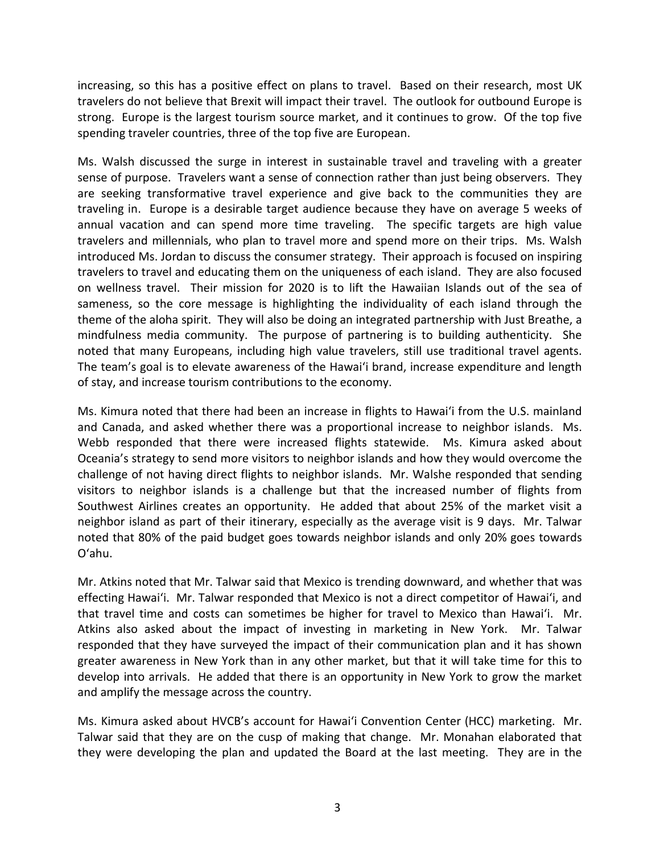increasing, so this has a positive effect on plans to travel. Based on their research, most UK travelers do not believe that Brexit will impact their travel. The outlook for outbound Europe is strong. Europe is the largest tourism source market, and it continues to grow. Of the top five spending traveler countries, three of the top five are European.

Ms. Walsh discussed the surge in interest in sustainable travel and traveling with a greater sense of purpose. Travelers want a sense of connection rather than just being observers. They are seeking transformative travel experience and give back to the communities they are traveling in. Europe is a desirable target audience because they have on average 5 weeks of annual vacation and can spend more time traveling. The specific targets are high value travelers and millennials, who plan to travel more and spend more on their trips. Ms. Walsh introduced Ms. Jordan to discuss the consumer strategy. Their approach is focused on inspiring travelers to travel and educating them on the uniqueness of each island. They are also focused on wellness travel. Their mission for 2020 is to lift the Hawaiian Islands out of the sea of sameness, so the core message is highlighting the individuality of each island through the theme of the aloha spirit. They will also be doing an integrated partnership with Just Breathe, a mindfulness media community. The purpose of partnering is to building authenticity. She noted that many Europeans, including high value travelers, still use traditional travel agents. The team's goal is to elevate awareness of the Hawai'i brand, increase expenditure and length of stay, and increase tourism contributions to the economy.

Ms. Kimura noted that there had been an increase in flights to Hawai'i from the U.S. mainland and Canada, and asked whether there was a proportional increase to neighbor islands. Ms. Webb responded that there were increased flights statewide. Ms. Kimura asked about Oceania's strategy to send more visitors to neighbor islands and how they would overcome the challenge of not having direct flights to neighbor islands. Mr. Walshe responded that sending visitors to neighbor islands is a challenge but that the increased number of flights from Southwest Airlines creates an opportunity. He added that about 25% of the market visit a neighbor island as part of their itinerary, especially as the average visit is 9 days. Mr. Talwar noted that 80% of the paid budget goes towards neighbor islands and only 20% goes towards O'ahu.

Mr. Atkins noted that Mr. Talwar said that Mexico is trending downward, and whether that was effecting Hawai'i. Mr. Talwar responded that Mexico is not a direct competitor of Hawai'i, and that travel time and costs can sometimes be higher for travel to Mexico than Hawai'i. Mr. Atkins also asked about the impact of investing in marketing in New York. Mr. Talwar responded that they have surveyed the impact of their communication plan and it has shown greater awareness in New York than in any other market, but that it will take time for this to develop into arrivals. He added that there is an opportunity in New York to grow the market and amplify the message across the country.

Ms. Kimura asked about HVCB's account for Hawai'i Convention Center (HCC) marketing. Mr. Talwar said that they are on the cusp of making that change. Mr. Monahan elaborated that they were developing the plan and updated the Board at the last meeting. They are in the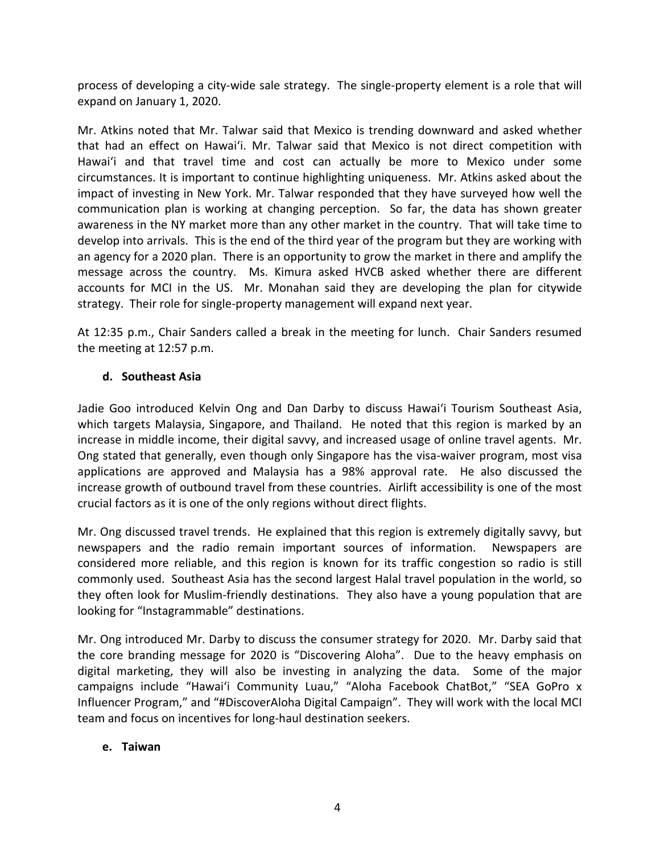process of developing a city-wide sale strategy. The single-property element is a role that will expand on January 1, 2020.

Mr. Atkins noted that Mr. Talwar said that Mexico is trending downward and asked whether that had an effect on Hawai'i. Mr. Talwar said that Mexico is not direct competition with Hawai'i and that travel time and cost can actually be more to Mexico under some circumstances. It is important to continue highlighting uniqueness. Mr. Atkins asked about the impact of investing in New York. Mr. Talwar responded that they have surveyed how well the communication plan is working at changing perception. So far, the data has shown greater awareness in the NY market more than any other market in the country. That will take time to develop into arrivals. This is the end of the third year of the program but they are working with an agency for a 2020 plan. There is an opportunity to grow the market in there and amplify the message across the country. Ms. Kimura asked HVCB asked whether there are different accounts for MCI in the US. Mr. Monahan said they are developing the plan for citywide strategy. Their role for single-property management will expand next year.

At 12:35 p.m., Chair Sanders called a break in the meeting for lunch. Chair Sanders resumed the meeting at 12:57 p.m.

### **d. Southeast Asia**

Jadie Goo introduced Kelvin Ong and Dan Darby to discuss Hawai'i Tourism Southeast Asia, which targets Malaysia, Singapore, and Thailand. He noted that this region is marked by an increase in middle income, their digital savvy, and increased usage of online travel agents. Mr. Ong stated that generally, even though only Singapore has the visa-waiver program, most visa applications are approved and Malaysia has a 98% approval rate. He also discussed the increase growth of outbound travel from these countries. Airlift accessibility is one of the most crucial factors as it is one of the only regions without direct flights.

Mr. Ong discussed travel trends. He explained that this region is extremely digitally savvy, but newspapers and the radio remain important sources of information. Newspapers are considered more reliable, and this region is known for its traffic congestion so radio is still commonly used. Southeast Asia has the second largest Halal travel population in the world, so they often look for Muslim-friendly destinations. They also have a young population that are looking for "Instagrammable" destinations.

Mr. Ong introduced Mr. Darby to discuss the consumer strategy for 2020. Mr. Darby said that the core branding message for 2020 is "Discovering Aloha". Due to the heavy emphasis on digital marketing, they will also be investing in analyzing the data. Some of the major campaigns include "Hawai'i Community Luau," "Aloha Facebook ChatBot," "SEA GoPro x Influencer Program," and "#DiscoverAloha Digital Campaign". They will work with the local MCI team and focus on incentives for long-haul destination seekers.

### **e. Taiwan**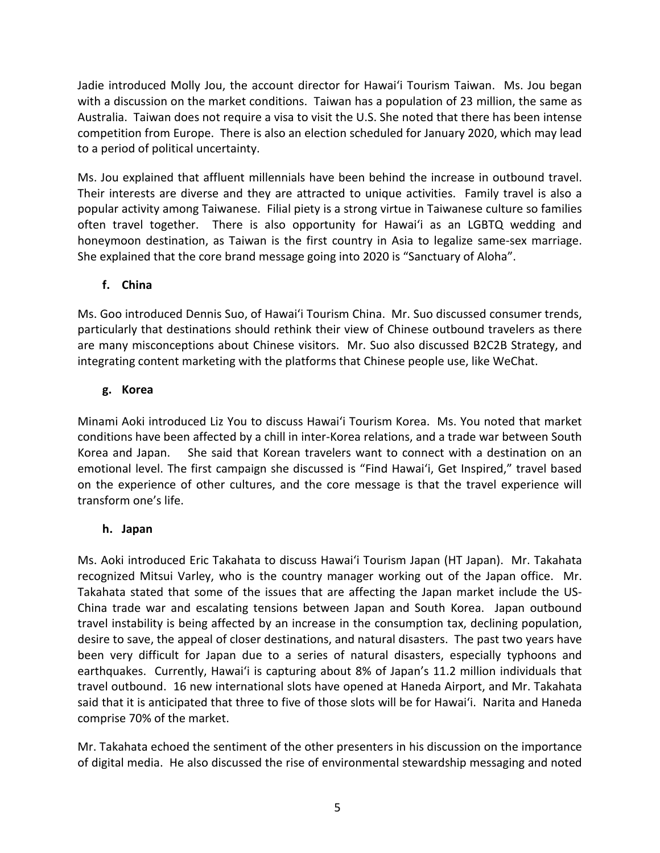Jadie introduced Molly Jou, the account director for Hawai'i Tourism Taiwan. Ms. Jou began with a discussion on the market conditions. Taiwan has a population of 23 million, the same as Australia. Taiwan does not require a visa to visit the U.S. She noted that there has been intense competition from Europe. There is also an election scheduled for January 2020, which may lead to a period of political uncertainty.

Ms. Jou explained that affluent millennials have been behind the increase in outbound travel. Their interests are diverse and they are attracted to unique activities. Family travel is also a popular activity among Taiwanese. Filial piety is a strong virtue in Taiwanese culture so families often travel together. There is also opportunity for Hawai'i as an LGBTQ wedding and honeymoon destination, as Taiwan is the first country in Asia to legalize same-sex marriage. She explained that the core brand message going into 2020 is "Sanctuary of Aloha".

## **f. China**

Ms. Goo introduced Dennis Suo, of Hawai'i Tourism China. Mr. Suo discussed consumer trends, particularly that destinations should rethink their view of Chinese outbound travelers as there are many misconceptions about Chinese visitors. Mr. Suo also discussed B2C2B Strategy, and integrating content marketing with the platforms that Chinese people use, like WeChat.

### **g. Korea**

Minami Aoki introduced Liz You to discuss Hawai'i Tourism Korea. Ms. You noted that market conditions have been affected by a chill in inter-Korea relations, and a trade war between South Korea and Japan. She said that Korean travelers want to connect with a destination on an emotional level. The first campaign she discussed is "Find Hawai'i, Get Inspired," travel based on the experience of other cultures, and the core message is that the travel experience will transform one's life.

### **h. Japan**

Ms. Aoki introduced Eric Takahata to discuss Hawai'i Tourism Japan (HT Japan). Mr. Takahata recognized Mitsui Varley, who is the country manager working out of the Japan office. Mr. Takahata stated that some of the issues that are affecting the Japan market include the US-China trade war and escalating tensions between Japan and South Korea. Japan outbound travel instability is being affected by an increase in the consumption tax, declining population, desire to save, the appeal of closer destinations, and natural disasters. The past two years have been very difficult for Japan due to a series of natural disasters, especially typhoons and earthquakes. Currently, Hawai'i is capturing about 8% of Japan's 11.2 million individuals that travel outbound. 16 new international slots have opened at Haneda Airport, and Mr. Takahata said that it is anticipated that three to five of those slots will be for Hawai'i. Narita and Haneda comprise 70% of the market.

Mr. Takahata echoed the sentiment of the other presenters in his discussion on the importance of digital media. He also discussed the rise of environmental stewardship messaging and noted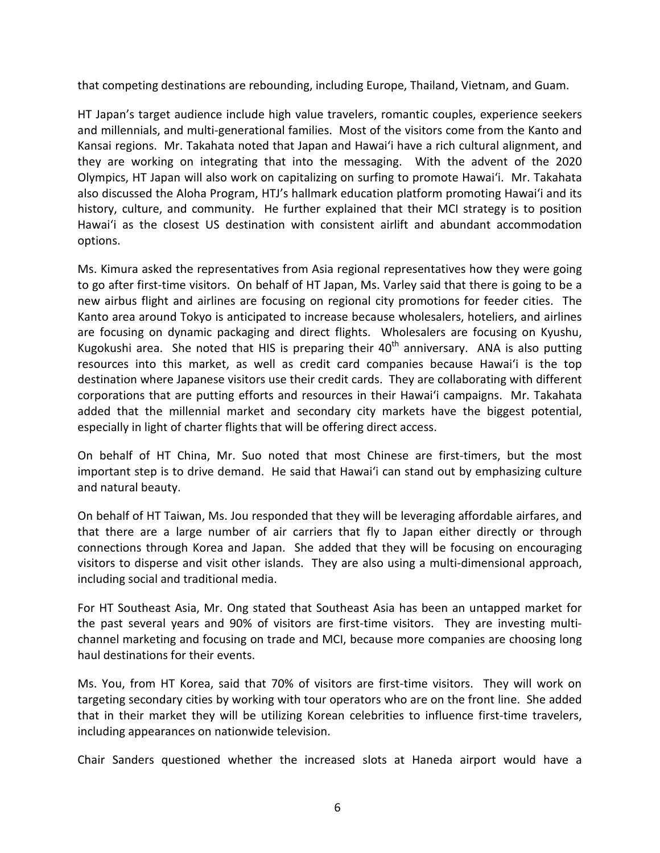that competing destinations are rebounding, including Europe, Thailand, Vietnam, and Guam.

HT Japan's target audience include high value travelers, romantic couples, experience seekers and millennials, and multi-generational families. Most of the visitors come from the Kanto and Kansai regions. Mr. Takahata noted that Japan and Hawai'i have a rich cultural alignment, and they are working on integrating that into the messaging. With the advent of the 2020 Olympics, HT Japan will also work on capitalizing on surfing to promote Hawai'i. Mr. Takahata also discussed the Aloha Program, HTJ's hallmark education platform promoting Hawai'i and its history, culture, and community. He further explained that their MCI strategy is to position Hawai'i as the closest US destination with consistent airlift and abundant accommodation options.

Ms. Kimura asked the representatives from Asia regional representatives how they were going to go after first-time visitors. On behalf of HT Japan, Ms. Varley said that there is going to be a new airbus flight and airlines are focusing on regional city promotions for feeder cities. The Kanto area around Tokyo is anticipated to increase because wholesalers, hoteliers, and airlines are focusing on dynamic packaging and direct flights. Wholesalers are focusing on Kyushu, Kugokushi area. She noted that HIS is preparing their  $40<sup>th</sup>$  anniversary. ANA is also putting resources into this market, as well as credit card companies because Hawai'i is the top destination where Japanese visitors use their credit cards. They are collaborating with different corporations that are putting efforts and resources in their Hawai'i campaigns. Mr. Takahata added that the millennial market and secondary city markets have the biggest potential, especially in light of charter flights that will be offering direct access.

On behalf of HT China, Mr. Suo noted that most Chinese are first-timers, but the most important step is to drive demand. He said that Hawai'i can stand out by emphasizing culture and natural beauty.

On behalf of HT Taiwan, Ms. Jou responded that they will be leveraging affordable airfares, and that there are a large number of air carriers that fly to Japan either directly or through connections through Korea and Japan. She added that they will be focusing on encouraging visitors to disperse and visit other islands. They are also using a multi-dimensional approach, including social and traditional media.

For HT Southeast Asia, Mr. Ong stated that Southeast Asia has been an untapped market for the past several years and 90% of visitors are first-time visitors. They are investing multichannel marketing and focusing on trade and MCI, because more companies are choosing long haul destinations for their events.

Ms. You, from HT Korea, said that 70% of visitors are first-time visitors. They will work on targeting secondary cities by working with tour operators who are on the front line. She added that in their market they will be utilizing Korean celebrities to influence first-time travelers, including appearances on nationwide television.

Chair Sanders questioned whether the increased slots at Haneda airport would have a